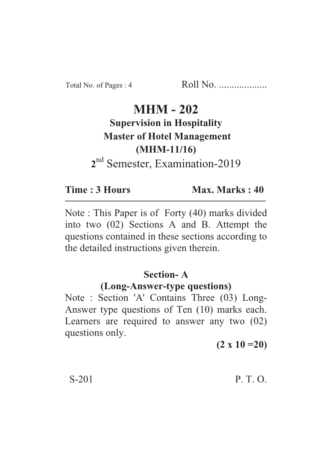# **MHM - 202 Supervision in Hospitality Master of Hotel Management (MHM-11/16)** <sup>nd</sup> Semester, Examination-2019

Time: 3 Hours **Time : 3 Hours Max. Marks : 40**

Max. Marks: 40

Note : This Paper is of Forty (40) marks divided into two (02) Sections A and B. Attempt the questions contained in these sections according to the detailed instructions given therein.

### **Section-A**

### **(Long-Answer-type questions)**

Note : Section 'A' Contains Three (03) Long-Answer type questions of Ten (10) marks each. Learners are required to answer any two (02) questions only.

**(2 x 10 =20)**

 $S-201$  P. T. O.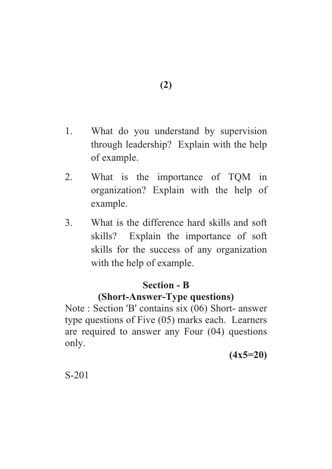- **(2)**
- 1. What do you understand by supervision through leadership? Explain with the help of example.
- 2. What is the importance of TQM in organization? Explain with the help of example.
- 3. What is the difference hard skills and soft skills? Explain the importance of soft skills for the success of any organization with the help of example.

### **Section - B**

## **(Short-Answer-Type questions)**

Note : Section 'B' contains six (06) Short- answer type questions of Five (05) marks each. Learners are required to answer any Four (04) questions only.

**(4x5=20)**

S-201